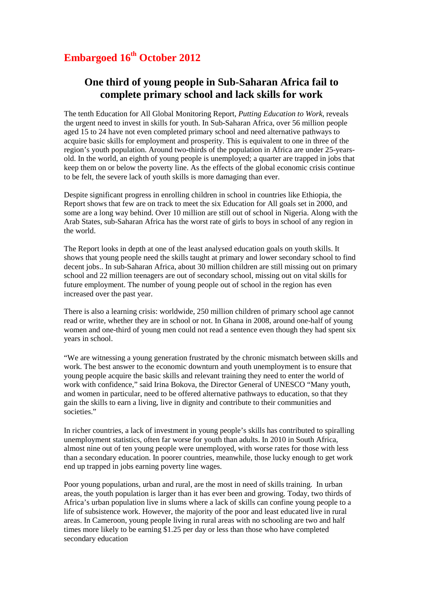## **Embargoed 16th October 2012**

## **One third of young people in Sub-Saharan Africa fail to complete primary school and lack skills for work**

The tenth Education for All Global Monitoring Report*, Putting Education to Work,* reveals the urgent need to invest in skills for youth. In Sub-Saharan Africa, over 56 million people aged 15 to 24 have not even completed primary school and need alternative pathways to acquire basic skills for employment and prosperity. This is equivalent to one in three of the region's youth population. Around two-thirds of the population in Africa are under 25-yearsold. In the world, an eighth of young people is unemployed; a quarter are trapped in jobs that keep them on or below the poverty line. As the effects of the global economic crisis continue to be felt, the severe lack of youth skills is more damaging than ever.

Despite significant progress in enrolling children in school in countries like Ethiopia, the Report shows that few are on track to meet the six Education for All goals set in 2000, and some are a long way behind. Over 10 million are still out of school in Nigeria. Along with the Arab States, sub-Saharan Africa has the worst rate of girls to boys in school of any region in the world.

The Report looks in depth at one of the least analysed education goals on youth skills. It shows that young people need the skills taught at primary and lower secondary school to find decent jobs.. In sub-Saharan Africa, about 30 million children are still missing out on primary school and 22 million teenagers are out of secondary school, missing out on vital skills for future employment. The number of young people out of school in the region has even increased over the past year.

There is also a learning crisis: worldwide, 250 million children of primary school age cannot read or write, whether they are in school or not. In Ghana in 2008, around one-half of young women and one-third of young men could not read a sentence even though they had spent six years in school.

"We are witnessing a young generation frustrated by the chronic mismatch between skills and work. The best answer to the economic downturn and youth unemployment is to ensure that young people acquire the basic skills and relevant training they need to enter the world of work with confidence," said Irina Bokova, the Director General of UNESCO "Many youth, and women in particular, need to be offered alternative pathways to education, so that they gain the skills to earn a living, live in dignity and contribute to their communities and societies."

In richer countries, a lack of investment in young people's skills has contributed to spiralling unemployment statistics, often far worse for youth than adults. In 2010 in South Africa, almost nine out of ten young people were unemployed, with worse rates for those with less than a secondary education. In poorer countries, meanwhile, those lucky enough to get work end up trapped in jobs earning poverty line wages.

Poor young populations, urban and rural, are the most in need of skills training. In urban areas, the youth population is larger than it has ever been and growing. Today, two thirds of Africa's urban population live in slums where a lack of skills can confine young people to a life of subsistence work. However, the majority of the poor and least educated live in rural areas. In Cameroon, young people living in rural areas with no schooling are two and half times more likely to be earning \$1.25 per day or less than those who have completed secondary education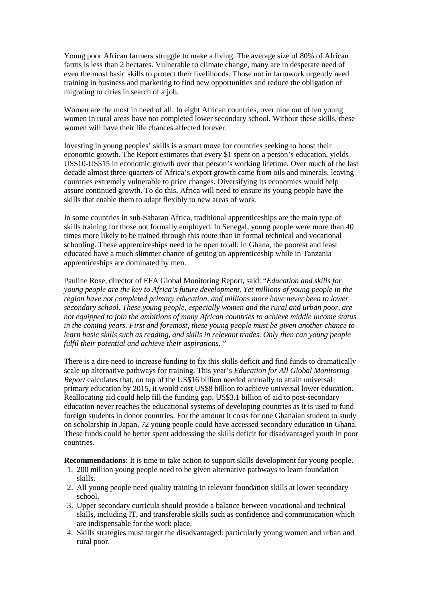Young poor African farmers struggle to make a living. The average size of 80% of African farms is less than 2 hectares. Vulnerable to climate change, many are in desperate need of even the most basic skills to protect their livelihoods. Those not in farmwork urgently need training in business and marketing to find new opportunities and reduce the obligation of migrating to cities in search of a job.

Women are the most in need of all. In eight African countries, over nine out of ten young women in rural areas have not completed lower secondary school. Without these skills, these women will have their life chances affected forever.

Investing in young peoples' skills is a smart move for countries seeking to boost their economic growth. The Report estimates that every \$1 spent on a person's education, yields US\$10-US\$15 in economic growth over that person's working lifetime. Over much of the last decade almost three-quarters of Africa's export growth came from oils and minerals, leaving countries extremely vulnerable to price changes. Diversifying its economies would help assure continued growth. To do this, Africa will need to ensure its young people have the skills that enable them to adapt flexibly to new areas of work.

In some countries in sub-Saharan Africa, traditional apprenticeships are the main type of skills training for those not formally employed. In Senegal, young people were more than 40 times more likely to be trained through this route than in formal technical and vocational schooling. These apprenticeships need to be open to all: in Ghana, the poorest and least educated have a much slimmer chance of getting an apprenticeship while in Tanzania apprenticeships are dominated by men.

Pauline Rose, director of EFA Global Monitoring Report, said: "*Education and skills for young people are the key to Africa's future development. Yet millions of young people in the region have not completed primary education, and millions more have never been to lower secondary school. These young people, especially women and the rural and urban poor, are not equipped to join the ambitions of many African countries to achieve middle income status in the coming years. First and foremost, these young people must be given another chance to learn basic skills such as reading, and skills in relevant trades. Only then can young people fulfil their potential and achieve their aspirations.* "

There is a dire need to increase funding to fix this skills deficit and find funds to dramatically scale up alternative pathways for training. This year's *Education for All Global Monitoring Report* calculates that, on top of the US\$16 billion needed annually to attain universal primary education by 2015, it would cost US\$8 billion to achieve universal lower education. Reallocating aid could help fill the funding gap. US\$3.1 billion of aid to post-secondary education never reaches the educational systems of developing countries as it is used to fund foreign students in donor countries. For the amount it costs for one Ghanaian student to study on scholarship in Japan, 72 young people could have accessed secondary education in Ghana. These funds could be better spent addressing the skills deficit for disadvantaged youth in poor countries.

**Recommendations**: It is time to take action to support skills development for young people.

- 1. 200 million young people need to be given alternative pathways to learn foundation skills.
- 2. All young people need quality training in relevant foundation skills at lower secondary school.
- 3. Upper secondary curricula should provide a balance between vocational and technical skills, including IT, and transferable skills such as confidence and communication which are indispensable for the work place.
- 4. Skills strategies must target the disadvantaged: particularly young women and urban and rural poor.